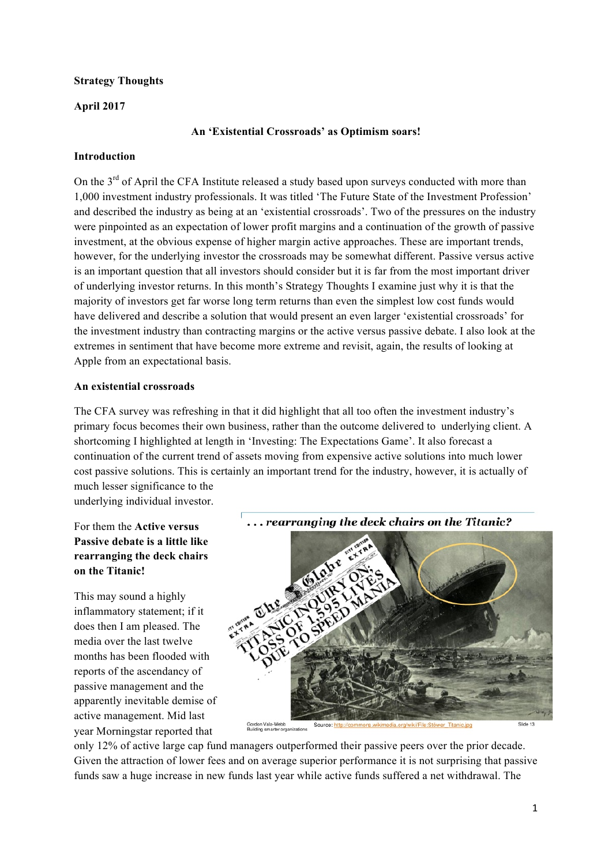## **Strategy Thoughts**

## **April 2017**

## **An 'Existential Crossroads' as Optimism soars!**

### **Introduction**

On the 3<sup>rd</sup> of April the CFA Institute released a study based upon surveys conducted with more than 1,000 investment industry professionals. It was titled 'The Future State of the Investment Profession' and described the industry as being at an 'existential crossroads'. Two of the pressures on the industry were pinpointed as an expectation of lower profit margins and a continuation of the growth of passive investment, at the obvious expense of higher margin active approaches. These are important trends, however, for the underlying investor the crossroads may be somewhat different. Passive versus active is an important question that all investors should consider but it is far from the most important driver of underlying investor returns. In this month's Strategy Thoughts I examine just why it is that the majority of investors get far worse long term returns than even the simplest low cost funds would have delivered and describe a solution that would present an even larger 'existential crossroads' for the investment industry than contracting margins or the active versus passive debate. I also look at the extremes in sentiment that have become more extreme and revisit, again, the results of looking at Apple from an expectational basis.

#### **An existential crossroads**

The CFA survey was refreshing in that it did highlight that all too often the investment industry's primary focus becomes their own business, rather than the outcome delivered to underlying client. A shortcoming I highlighted at length in 'Investing: The Expectations Game'. It also forecast a continuation of the current trend of assets moving from expensive active solutions into much lower cost passive solutions. This is certainly an important trend for the industry, however, it is actually of much lesser significance to the

underlying individual investor.

For them the **Active versus Passive debate is a little like rearranging the deck chairs on the Titanic!**

This may sound a highly inflammatory statement; if it does then I am pleased. The media over the last twelve months has been flooded with reports of the ascendancy of passive management and the apparently inevitable demise of active management. Mid last year Morningstar reported that



only 12% of active large cap fund managers outperformed their passive peers over the prior decade. Given the attraction of lower fees and on average superior performance it is not surprising that passive funds saw a huge increase in new funds last year while active funds suffered a net withdrawal. The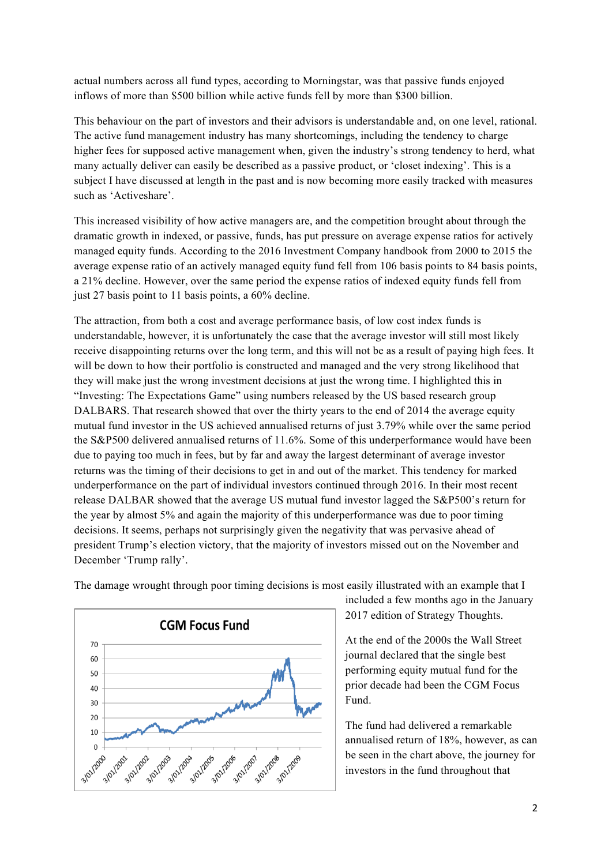actual numbers across all fund types, according to Morningstar, was that passive funds enjoyed inflows of more than \$500 billion while active funds fell by more than \$300 billion.

This behaviour on the part of investors and their advisors is understandable and, on one level, rational. The active fund management industry has many shortcomings, including the tendency to charge higher fees for supposed active management when, given the industry's strong tendency to herd, what many actually deliver can easily be described as a passive product, or 'closet indexing'. This is a subject I have discussed at length in the past and is now becoming more easily tracked with measures such as 'Activeshare'.

This increased visibility of how active managers are, and the competition brought about through the dramatic growth in indexed, or passive, funds, has put pressure on average expense ratios for actively managed equity funds. According to the 2016 Investment Company handbook from 2000 to 2015 the average expense ratio of an actively managed equity fund fell from 106 basis points to 84 basis points, a 21% decline. However, over the same period the expense ratios of indexed equity funds fell from just 27 basis point to 11 basis points, a 60% decline.

The attraction, from both a cost and average performance basis, of low cost index funds is understandable, however, it is unfortunately the case that the average investor will still most likely receive disappointing returns over the long term, and this will not be as a result of paying high fees. It will be down to how their portfolio is constructed and managed and the very strong likelihood that they will make just the wrong investment decisions at just the wrong time. I highlighted this in "Investing: The Expectations Game" using numbers released by the US based research group DALBARS. That research showed that over the thirty years to the end of 2014 the average equity mutual fund investor in the US achieved annualised returns of just 3.79% while over the same period the S&P500 delivered annualised returns of 11.6%. Some of this underperformance would have been due to paying too much in fees, but by far and away the largest determinant of average investor returns was the timing of their decisions to get in and out of the market. This tendency for marked underperformance on the part of individual investors continued through 2016. In their most recent release DALBAR showed that the average US mutual fund investor lagged the S&P500's return for the year by almost 5% and again the majority of this underperformance was due to poor timing decisions. It seems, perhaps not surprisingly given the negativity that was pervasive ahead of president Trump's election victory, that the majority of investors missed out on the November and December 'Trump rally'.



The damage wrought through poor timing decisions is most easily illustrated with an example that I

included a few months ago in the January 2017 edition of Strategy Thoughts.

At the end of the 2000s the Wall Street journal declared that the single best performing equity mutual fund for the prior decade had been the CGM Focus Fund.

The fund had delivered a remarkable annualised return of 18%, however, as can be seen in the chart above, the journey for investors in the fund throughout that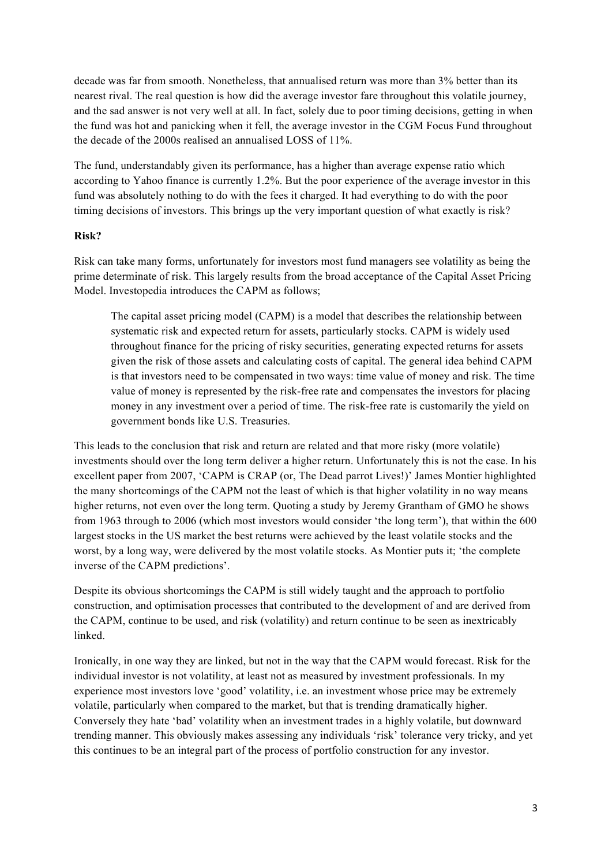decade was far from smooth. Nonetheless, that annualised return was more than 3% better than its nearest rival. The real question is how did the average investor fare throughout this volatile journey, and the sad answer is not very well at all. In fact, solely due to poor timing decisions, getting in when the fund was hot and panicking when it fell, the average investor in the CGM Focus Fund throughout the decade of the 2000s realised an annualised LOSS of 11%.

The fund, understandably given its performance, has a higher than average expense ratio which according to Yahoo finance is currently 1.2%. But the poor experience of the average investor in this fund was absolutely nothing to do with the fees it charged. It had everything to do with the poor timing decisions of investors. This brings up the very important question of what exactly is risk?

### **Risk?**

Risk can take many forms, unfortunately for investors most fund managers see volatility as being the prime determinate of risk. This largely results from the broad acceptance of the Capital Asset Pricing Model. Investopedia introduces the CAPM as follows;

The capital asset pricing model (CAPM) is a model that describes the relationship between systematic risk and expected return for assets, particularly stocks. CAPM is widely used throughout finance for the pricing of risky securities, generating expected returns for assets given the risk of those assets and calculating costs of capital. The general idea behind CAPM is that investors need to be compensated in two ways: time value of money and risk. The time value of money is represented by the risk-free rate and compensates the investors for placing money in any investment over a period of time. The risk-free rate is customarily the yield on government bonds like U.S. Treasuries.

This leads to the conclusion that risk and return are related and that more risky (more volatile) investments should over the long term deliver a higher return. Unfortunately this is not the case. In his excellent paper from 2007, 'CAPM is CRAP (or, The Dead parrot Lives!)' James Montier highlighted the many shortcomings of the CAPM not the least of which is that higher volatility in no way means higher returns, not even over the long term. Quoting a study by Jeremy Grantham of GMO he shows from 1963 through to 2006 (which most investors would consider 'the long term'), that within the 600 largest stocks in the US market the best returns were achieved by the least volatile stocks and the worst, by a long way, were delivered by the most volatile stocks. As Montier puts it; 'the complete inverse of the CAPM predictions'.

Despite its obvious shortcomings the CAPM is still widely taught and the approach to portfolio construction, and optimisation processes that contributed to the development of and are derived from the CAPM, continue to be used, and risk (volatility) and return continue to be seen as inextricably linked.

Ironically, in one way they are linked, but not in the way that the CAPM would forecast. Risk for the individual investor is not volatility, at least not as measured by investment professionals. In my experience most investors love 'good' volatility, i.e. an investment whose price may be extremely volatile, particularly when compared to the market, but that is trending dramatically higher. Conversely they hate 'bad' volatility when an investment trades in a highly volatile, but downward trending manner. This obviously makes assessing any individuals 'risk' tolerance very tricky, and yet this continues to be an integral part of the process of portfolio construction for any investor.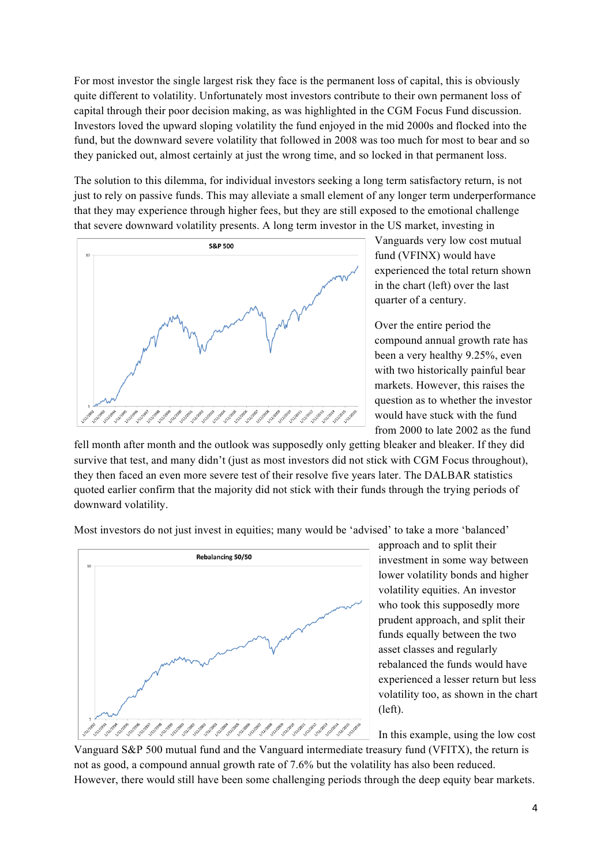For most investor the single largest risk they face is the permanent loss of capital, this is obviously quite different to volatility. Unfortunately most investors contribute to their own permanent loss of capital through their poor decision making, as was highlighted in the CGM Focus Fund discussion. Investors loved the upward sloping volatility the fund enjoyed in the mid 2000s and flocked into the fund, but the downward severe volatility that followed in 2008 was too much for most to bear and so they panicked out, almost certainly at just the wrong time, and so locked in that permanent loss.

The solution to this dilemma, for individual investors seeking a long term satisfactory return, is not just to rely on passive funds. This may alleviate a small element of any longer term underperformance that they may experience through higher fees, but they are still exposed to the emotional challenge that severe downward volatility presents. A long term investor in the US market, investing in



Vanguards very low cost mutual fund (VFINX) would have experienced the total return shown in the chart (left) over the last quarter of a century.

Over the entire period the compound annual growth rate has been a very healthy 9.25%, even with two historically painful bear markets. However, this raises the question as to whether the investor would have stuck with the fund from 2000 to late 2002 as the fund

fell month after month and the outlook was supposedly only getting bleaker and bleaker. If they did survive that test, and many didn't (just as most investors did not stick with CGM Focus throughout), they then faced an even more severe test of their resolve five years later. The DALBAR statistics quoted earlier confirm that the majority did not stick with their funds through the trying periods of downward volatility.

Most investors do not just invest in equities; many would be 'advised' to take a more 'balanced'



approach and to split their investment in some way between lower volatility bonds and higher volatility equities. An investor who took this supposedly more prudent approach, and split their funds equally between the two asset classes and regularly rebalanced the funds would have experienced a lesser return but less volatility too, as shown in the chart (left).

In this example, using the low cost

Vanguard S&P 500 mutual fund and the Vanguard intermediate treasury fund (VFITX), the return is not as good, a compound annual growth rate of 7.6% but the volatility has also been reduced. However, there would still have been some challenging periods through the deep equity bear markets.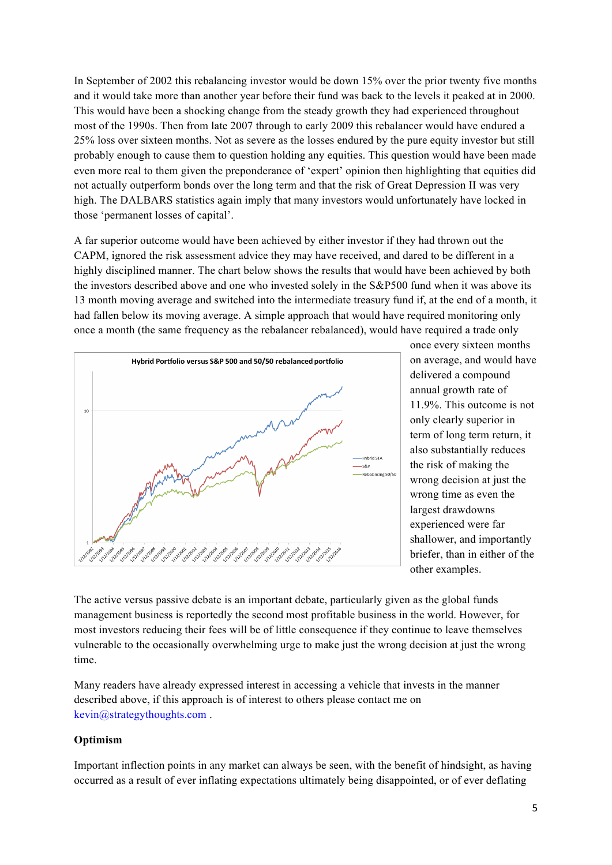In September of 2002 this rebalancing investor would be down 15% over the prior twenty five months and it would take more than another year before their fund was back to the levels it peaked at in 2000. This would have been a shocking change from the steady growth they had experienced throughout most of the 1990s. Then from late 2007 through to early 2009 this rebalancer would have endured a 25% loss over sixteen months. Not as severe as the losses endured by the pure equity investor but still probably enough to cause them to question holding any equities. This question would have been made even more real to them given the preponderance of 'expert' opinion then highlighting that equities did not actually outperform bonds over the long term and that the risk of Great Depression II was very high. The DALBARS statistics again imply that many investors would unfortunately have locked in those 'permanent losses of capital'.

A far superior outcome would have been achieved by either investor if they had thrown out the CAPM, ignored the risk assessment advice they may have received, and dared to be different in a highly disciplined manner. The chart below shows the results that would have been achieved by both the investors described above and one who invested solely in the S&P500 fund when it was above its 13 month moving average and switched into the intermediate treasury fund if, at the end of a month, it had fallen below its moving average. A simple approach that would have required monitoring only once a month (the same frequency as the rebalancer rebalanced), would have required a trade only



once every sixteen months on average, and would have delivered a compound annual growth rate of 11.9%. This outcome is not only clearly superior in term of long term return, it also substantially reduces the risk of making the wrong decision at just the wrong time as even the largest drawdowns experienced were far shallower, and importantly briefer, than in either of the other examples.

The active versus passive debate is an important debate, particularly given as the global funds management business is reportedly the second most profitable business in the world. However, for most investors reducing their fees will be of little consequence if they continue to leave themselves vulnerable to the occasionally overwhelming urge to make just the wrong decision at just the wrong time.

Many readers have already expressed interest in accessing a vehicle that invests in the manner described above, if this approach is of interest to others please contact me on kevin@strategythoughts.com .

### **Optimism**

Important inflection points in any market can always be seen, with the benefit of hindsight, as having occurred as a result of ever inflating expectations ultimately being disappointed, or of ever deflating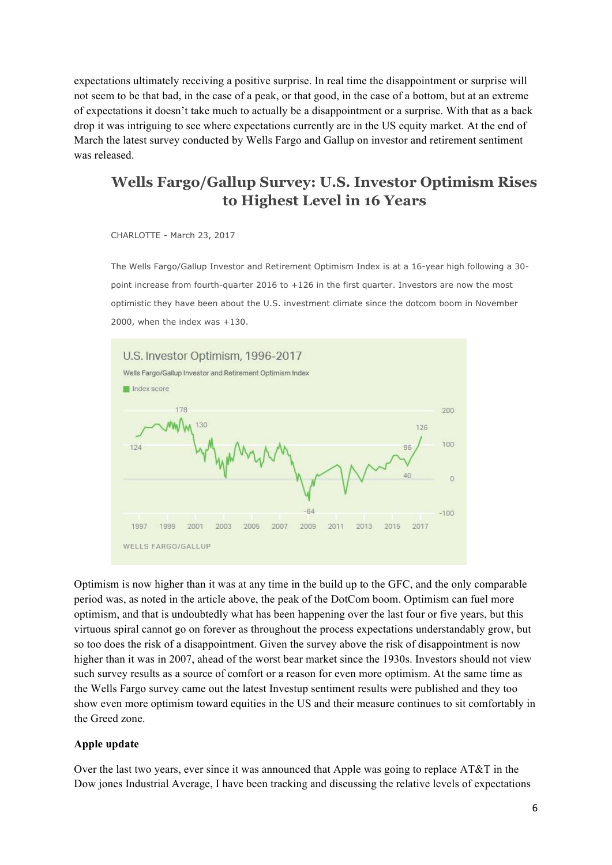expectations ultimately receiving a positive surprise. In real time the disappointment or surprise will not seem to be that bad, in the case of a peak, or that good, in the case of a bottom, but at an extreme of expectations it doesn't take much to actually be a disappointment or a surprise. With that as a back drop it was intriguing to see where expectations currently are in the US equity market. At the end of March the latest survey conducted by Wells Fargo and Gallup on investor and retirement sentiment was released.

# **Wells Fargo/Gallup Survey: U.S. Investor Optimism Rises to Highest Level in 16 Years**

CHARLOTTE - March 23, 2017

The Wells Fargo/Gallup Investor and Retirement Optimism Index is at a 16-year high following a 30 point increase from fourth-quarter 2016 to +126 in the first quarter. Investors are now the most optimistic they have been about the U.S. investment climate since the dotcom boom in November 2000, when the index was +130.



Optimism is now higher than it was at any time in the build up to the GFC, and the only comparable period was, as noted in the article above, the peak of the DotCom boom. Optimism can fuel more optimism, and that is undoubtedly what has been happening over the last four or five years, but this virtuous spiral cannot go on forever as throughout the process expectations understandably grow, but so too does the risk of a disappointment. Given the survey above the risk of disappointment is now higher than it was in 2007, ahead of the worst bear market since the 1930s. Investors should not view such survey results as a source of comfort or a reason for even more optimism. At the same time as the Wells Fargo survey came out the latest Investup sentiment results were published and they too show even more optimism toward equities in the US and their measure continues to sit comfortably in the Greed zone.

#### **Apple update**

Over the last two years, ever since it was announced that Apple was going to replace AT&T in the Dow jones Industrial Average, I have been tracking and discussing the relative levels of expectations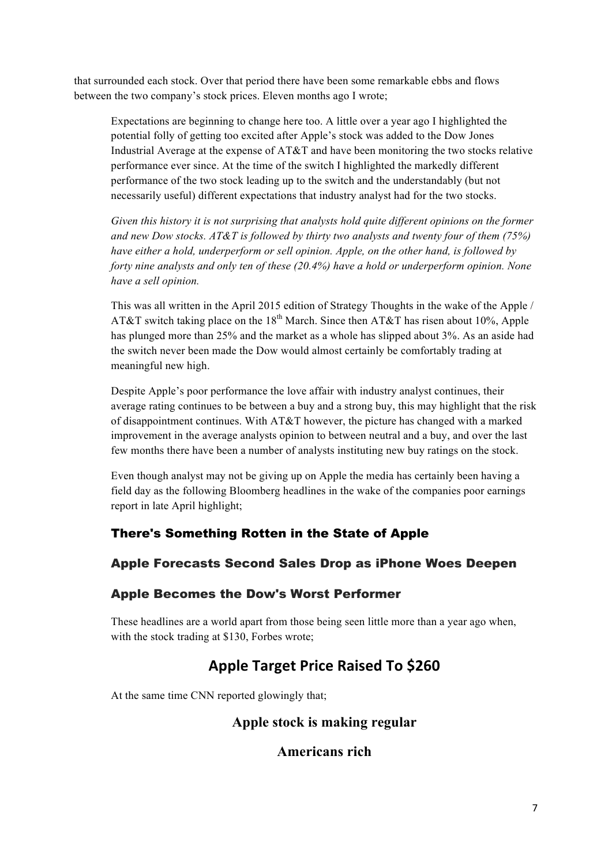that surrounded each stock. Over that period there have been some remarkable ebbs and flows between the two company's stock prices. Eleven months ago I wrote;

Expectations are beginning to change here too. A little over a year ago I highlighted the potential folly of getting too excited after Apple's stock was added to the Dow Jones Industrial Average at the expense of AT&T and have been monitoring the two stocks relative performance ever since. At the time of the switch I highlighted the markedly different performance of the two stock leading up to the switch and the understandably (but not necessarily useful) different expectations that industry analyst had for the two stocks.

*Given this history it is not surprising that analysts hold quite different opinions on the former and new Dow stocks. AT&T is followed by thirty two analysts and twenty four of them (75%) have either a hold, underperform or sell opinion. Apple, on the other hand, is followed by forty nine analysts and only ten of these (20.4%) have a hold or underperform opinion. None have a sell opinion.*

This was all written in the April 2015 edition of Strategy Thoughts in the wake of the Apple / AT&T switch taking place on the  $18<sup>th</sup>$  March. Since then AT&T has risen about 10%. Apple has plunged more than 25% and the market as a whole has slipped about 3%. As an aside had the switch never been made the Dow would almost certainly be comfortably trading at meaningful new high.

Despite Apple's poor performance the love affair with industry analyst continues, their average rating continues to be between a buy and a strong buy, this may highlight that the risk of disappointment continues. With AT&T however, the picture has changed with a marked improvement in the average analysts opinion to between neutral and a buy, and over the last few months there have been a number of analysts instituting new buy ratings on the stock.

Even though analyst may not be giving up on Apple the media has certainly been having a field day as the following Bloomberg headlines in the wake of the companies poor earnings report in late April highlight;

# There's Something Rotten in the State of Apple

# Apple Forecasts Second Sales Drop as iPhone Woes Deepen

# Apple Becomes the Dow's Worst Performer

These headlines are a world apart from those being seen little more than a year ago when, with the stock trading at \$130, Forbes wrote;

# **Apple Target Price Raised To \$260**

At the same time CNN reported glowingly that;

# **Apple stock is making regular**

# **Americans rich**